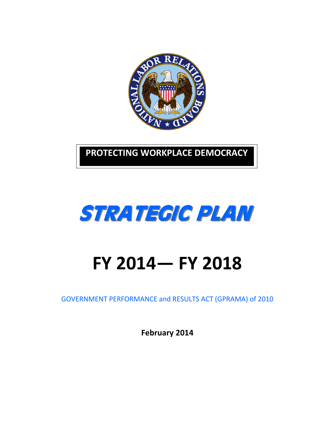

**PROTECTING WORKPLACE DEMOCRACY**



# **FY 2014— FY 2018**

GOVERNMENT PERFORMANCE and RESULTS ACT (GPRAMA) of 2010

**February 2014**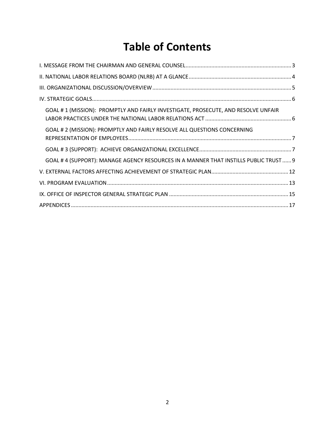# **Table of Contents**

| GOAL #1 (MISSION): PROMPTLY AND FAIRLY INVESTIGATE, PROSECUTE, AND RESOLVE UNFAIR    |  |
|--------------------------------------------------------------------------------------|--|
| GOAL # 2 (MISSION): PROMPTLY AND FAIRLY RESOLVE ALL QUESTIONS CONCERNING             |  |
|                                                                                      |  |
| GOAL #4 (SUPPORT): MANAGE AGENCY RESOURCES IN A MANNER THAT INSTILLS PUBLIC TRUST  9 |  |
|                                                                                      |  |
|                                                                                      |  |
|                                                                                      |  |
|                                                                                      |  |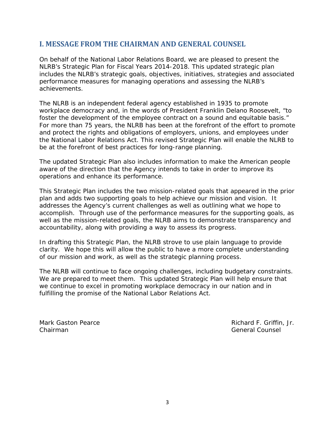#### <span id="page-2-0"></span>**I. MESSAGE FROM THE CHAIRMAN AND GENERAL COUNSEL**

On behalf of the National Labor Relations Board, we are pleased to present the NLRB's Strategic Plan for Fiscal Years 2014-2018. This updated strategic plan includes the NLRB's strategic goals, objectives, initiatives, strategies and associated performance measures for managing operations and assessing the NLRB's achievements.

The NLRB is an independent federal agency established in 1935 to promote workplace democracy and, in the words of President Franklin Delano Roosevelt, "to foster the development of the employee contract on a sound and equitable basis." For more than 75 years, the NLRB has been at the forefront of the effort to promote and protect the rights and obligations of employers, unions, and employees under the National Labor Relations Act. This revised Strategic Plan will enable the NLRB to be at the forefront of best practices for long-range planning.

The updated Strategic Plan also includes information to make the American people aware of the direction that the Agency intends to take in order to improve its operations and enhance its performance.

This Strategic Plan includes the two mission-related goals that appeared in the prior plan and adds two supporting goals to help achieve our mission and vision. It addresses the Agency's current challenges as well as outlining what we hope to accomplish. Through use of the performance measures for the supporting goals, as well as the mission-related goals, the NLRB aims to demonstrate transparency and accountability, along with providing a way to assess its progress.

In drafting this Strategic Plan, the NLRB strove to use plain language to provide clarity. We hope this will allow the public to have a more complete understanding of our mission and work, as well as the strategic planning process.

The NLRB will continue to face ongoing challenges, including budgetary constraints. We are prepared to meet them. This updated Strategic Plan will help ensure that we continue to excel in promoting workplace democracy in our nation and in fulfilling the promise of the National Labor Relations Act.

Chairman General Counsel

Mark Gaston Pearce **Richard F. Griffin, Jr. Richard F. Griffin, Jr.**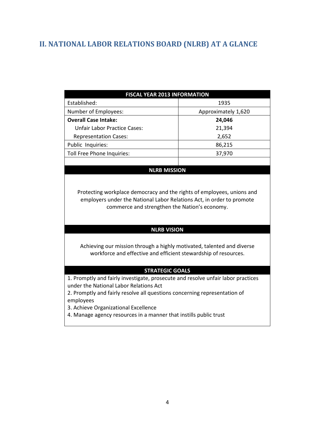### <span id="page-3-0"></span>**II. NATIONAL LABOR RELATIONS BOARD (NLRB) AT A GLANCE**

| <b>FISCAL YEAR 2013 INFORMATION</b> |                     |  |  |  |  |
|-------------------------------------|---------------------|--|--|--|--|
| Established:                        | 1935                |  |  |  |  |
| Number of Employees:                | Approximately 1,620 |  |  |  |  |
| <b>Overall Case Intake:</b>         | 24.046              |  |  |  |  |
| Unfair Labor Practice Cases:        | 21,394              |  |  |  |  |
| <b>Representation Cases:</b>        | 2,652               |  |  |  |  |
| Public Inquiries:                   | 86,215              |  |  |  |  |
| Toll Free Phone Inquiries:          | 37,970              |  |  |  |  |
|                                     |                     |  |  |  |  |

#### **NLRB MISSION**

Protecting workplace democracy and the rights of employees, unions and employers under the National Labor Relations Act, in order to promote commerce and strengthen the Nation's economy.

#### **NLRB VISION**

Achieving our mission through a highly motivated, talented and diverse workforce and effective and efficient stewardship of resources.

#### **STRATEGIC GOALS**

1. Promptly and fairly investigate, prosecute and resolve unfair labor practices under the National Labor Relations Act

2. Promptly and fairly resolve all questions concerning representation of employees

3. Achieve Organizational Excellence

4. Manage agency resources in a manner that instills public trust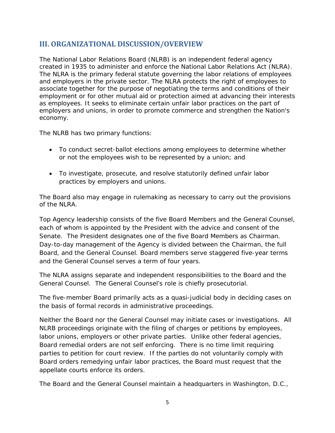### <span id="page-4-0"></span>**III. ORGANIZATIONAL DISCUSSION/OVERVIEW**

The National Labor Relations Board (NLRB) is an independent federal agency created in 1935 to administer and enforce the National Labor Relations Act (NLRA). The NLRA is the primary federal statute governing the labor relations of employees and employers in the private sector. The NLRA protects the right of employees to associate together for the purpose of negotiating the terms and conditions of their employment or for other mutual aid or protection aimed at advancing their interests as employees. It seeks to eliminate certain unfair labor practices on the part of employers and unions, in order to promote commerce and strengthen the Nation's economy.

The NLRB has two primary functions:

- To conduct secret-ballot elections among employees to determine whether or not the employees wish to be represented by a union; and
- To investigate, prosecute, and resolve statutorily defined unfair labor practices by employers and unions.

The Board also may engage in rulemaking as necessary to carry out the provisions of the NLRA.

Top Agency leadership consists of the five Board Members and the General Counsel, each of whom is appointed by the President with the advice and consent of the Senate. The President designates one of the five Board Members as Chairman. Day-to-day management of the Agency is divided between the Chairman, the full Board, and the General Counsel. Board members serve staggered five-year terms and the General Counsel serves a term of four years.

The NLRA assigns separate and independent responsibilities to the Board and the General Counsel. The General Counsel's role is chiefly prosecutorial.

The five-member Board primarily acts as a quasi-judicial body in deciding cases on the basis of formal records in administrative proceedings.

Neither the Board nor the General Counsel may initiate cases or investigations. All NLRB proceedings originate with the filing of charges or petitions by employees, labor unions, employers or other private parties. Unlike other federal agencies, Board remedial orders are not self enforcing. There is no time limit requiring parties to petition for court review. If the parties do not voluntarily comply with Board orders remedying unfair labor practices, the Board must request that the appellate courts enforce its orders.

The Board and the General Counsel maintain a headquarters in Washington, D.C.,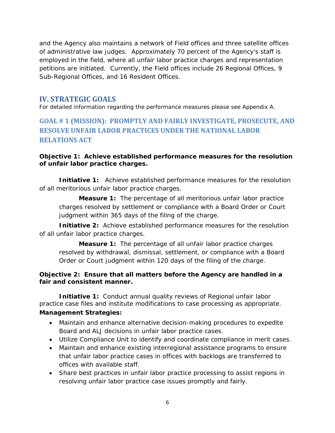and the Agency also maintains a network of Field offices and three satellite offices of administrative law judges. Approximately 70 percent of the Agency's staff is employed in the field, where all unfair labor practice charges and representation petitions are initiated. Currently, the Field offices include 26 Regional Offices, 9 Sub-Regional Offices, and 16 Resident Offices.

#### <span id="page-5-0"></span>**IV. STRATEGIC GOALS**

*For detailed information regarding the performance measures please see Appendix A.* 

### <span id="page-5-1"></span>**GOAL # 1 (MISSION): PROMPTLY AND FAIRLY INVESTIGATE, PROSECUTE, AND RESOLVE UNFAIR LABOR PRACTICES UNDER THE NATIONAL LABOR RELATIONS ACT**

#### **Objective 1: Achieve established performance measures for the resolution of unfair labor practice charges.**

**Initiative 1:** Achieve established performance measures for the resolution of all meritorious unfair labor practice charges.

**Measure 1:** The percentage of all meritorious unfair labor practice charges resolved by settlement or compliance with a Board Order or Court judgment within 365 days of the filing of the charge.

**Initiative 2:** Achieve established performance measures for the resolution of all unfair labor practice charges.

**Measure 1:** The percentage of all unfair labor practice charges resolved by withdrawal, dismissal, settlement, or compliance with a Board Order or Court judgment within 120 days of the filing of the charge.

#### **Objective 2: Ensure that all matters before the Agency are handled in a fair and consistent manner.**

**Initiative 1:** Conduct annual quality reviews of Regional unfair labor practice case files and institute modifications to case processing as appropriate.

#### **Management Strategies:**

- Maintain and enhance alternative decision-making procedures to expedite Board and ALJ decisions in unfair labor practice cases.
- Utilize Compliance Unit to identify and coordinate compliance in merit cases.
- Maintain and enhance existing interregional assistance programs to ensure that unfair labor practice cases in offices with backlogs are transferred to offices with available staff.
- Share best practices in unfair labor practice processing to assist regions in resolving unfair labor practice case issues promptly and fairly.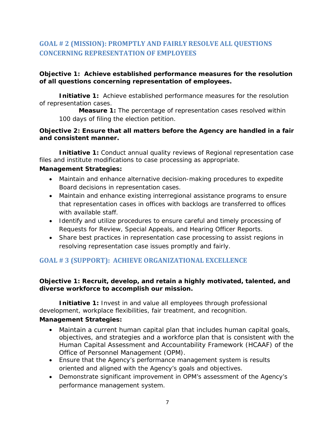### <span id="page-6-0"></span>**GOAL # 2 (MISSION): PROMPTLY AND FAIRLY RESOLVE ALL QUESTIONS CONCERNING REPRESENTATION OF EMPLOYEES**

#### **Objective 1: Achieve established performance measures for the resolution of all questions concerning representation of employees.**

**Initiative 1:** Achieve established performance measures for the resolution of representation cases.

**Measure 1:** The percentage of representation cases resolved within 100 days of filing the election petition.

#### **Objective 2: Ensure that all matters before the Agency are handled in a fair and consistent manner.**

**Initiative 1:** Conduct annual quality reviews of Regional representation case files and institute modifications to case processing as appropriate.

#### **Management Strategies:**

- Maintain and enhance alternative decision-making procedures to expedite Board decisions in representation cases.
- Maintain and enhance existing interregional assistance programs to ensure that representation cases in offices with backlogs are transferred to offices with available staff.
- Identify and utilize procedures to ensure careful and timely processing of Requests for Review, Special Appeals, and Hearing Officer Reports.
- Share best practices in representation case processing to assist regions in resolving representation case issues promptly and fairly.

#### <span id="page-6-1"></span>**GOAL # 3 (SUPPORT): ACHIEVE ORGANIZATIONAL EXCELLENCE**

#### **Objective 1: Recruit, develop, and retain a highly motivated, talented, and diverse workforce to accomplish our mission.**

**Initiative 1:** Invest in and value all employees through professional development, workplace flexibilities, fair treatment, and recognition.

#### **Management Strategies:**

- Maintain a current human capital plan that includes human capital goals, objectives, and strategies and a workforce plan that is consistent with the Human Capital Assessment and Accountability Framework (HCAAF) of the Office of Personnel Management (OPM).
- Ensure that the Agency's performance management system is results oriented and aligned with the Agency's goals and objectives.
- Demonstrate significant improvement in OPM's assessment of the Agency's performance management system.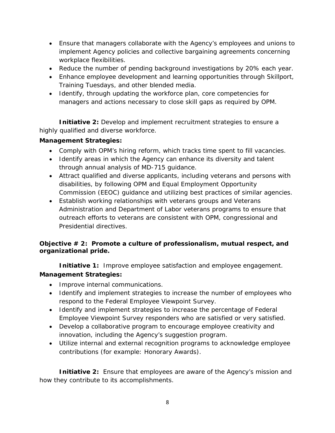- Ensure that managers collaborate with the Agency's employees and unions to implement Agency policies and collective bargaining agreements concerning workplace flexibilities.
- Reduce the number of pending background investigations by 20% each year.
- Enhance employee development and learning opportunities through Skillport, Training Tuesdays, and other blended media.
- Identify, through updating the workforce plan, core competencies for managers and actions necessary to close skill gaps as required by OPM.

**Initiative 2:** Develop and implement recruitment strategies to ensure a highly qualified and diverse workforce.

#### **Management Strategies:**

- Comply with OPM's hiring reform, which tracks time spent to fill vacancies.
- Identify areas in which the Agency can enhance its diversity and talent through annual analysis of MD-715 guidance.
- Attract qualified and diverse applicants, including veterans and persons with disabilities, by following OPM and Equal Employment Opportunity Commission (EEOC) guidance and utilizing best practices of similar agencies.
- Establish working relationships with veterans groups and Veterans Administration and Department of Labor veterans programs to ensure that outreach efforts to veterans are consistent with OPM, congressional and Presidential directives.

#### **Objective # 2: Promote a culture of professionalism, mutual respect, and organizational pride.**

**Initiative 1:** Improve employee satisfaction and employee engagement. **Management Strategies:**

- Improve internal communications.
- Identify and implement strategies to increase the number of employees who respond to the Federal Employee Viewpoint Survey.
- Identify and implement strategies to increase the percentage of Federal Employee Viewpoint Survey responders who are satisfied or very satisfied.
- Develop a collaborative program to encourage employee creativity and innovation, including the Agency's suggestion program.
- Utilize internal and external recognition programs to acknowledge employee contributions (for example: Honorary Awards).

**Initiative 2:** Ensure that employees are aware of the Agency's mission and how they contribute to its accomplishments.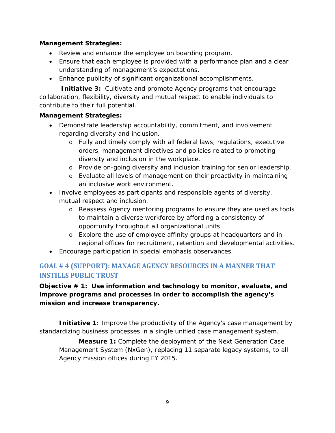#### **Management Strategies:**

- Review and enhance the employee on boarding program.
- Ensure that each employee is provided with a performance plan and a clear understanding of management's expectations.
- Enhance publicity of significant organizational accomplishments.

**Initiative 3:** Cultivate and promote Agency programs that encourage collaboration, flexibility, diversity and mutual respect to enable individuals to contribute to their full potential.

#### **Management Strategies:**

- Demonstrate leadership accountability, commitment, and involvement regarding diversity and inclusion.
	- o Fully and timely comply with all federal laws, regulations, executive orders, management directives and policies related to promoting diversity and inclusion in the workplace.
	- o Provide on-going diversity and inclusion training for senior leadership.
	- o Evaluate all levels of management on their proactivity in maintaining an inclusive work environment.
- Involve employees as participants and responsible agents of diversity, mutual respect and inclusion.
	- o Reassess Agency mentoring programs to ensure they are used as tools to maintain a diverse workforce by affording a consistency of opportunity throughout all organizational units.
	- o Explore the use of employee affinity groups at headquarters and in regional offices for recruitment, retention and developmental activities.
- Encourage participation in special emphasis observances.

## <span id="page-8-0"></span>**GOAL # 4 (SUPPORT): MANAGE AGENCY RESOURCES IN A MANNER THAT INSTILLS PUBLIC TRUST**

**Objective # 1: Use information and technology to monitor, evaluate, and improve programs and processes in order to accomplish the agency's mission and increase transparency.**

**Initiative 1**: Improve the productivity of the Agency's case management by standardizing business processes in a single unified case management system.

**Measure 1:** Complete the deployment of the Next Generation Case Management System (NxGen), replacing 11 separate legacy systems, to all Agency mission offices during FY 2015.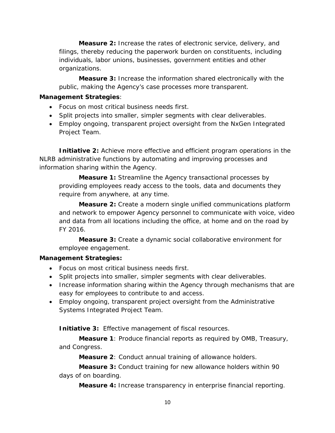**Measure 2:** Increase the rates of electronic service, delivery, and filings, thereby reducing the paperwork burden on constituents, including individuals, labor unions, businesses, government entities and other organizations.

**Measure 3:** Increase the information shared electronically with the public, making the Agency's case processes more transparent.

#### **Management Strategies**:

- Focus on most critical business needs first.
- Split projects into smaller, simpler segments with clear deliverables.
- Employ ongoing, transparent project oversight from the NxGen Integrated Project Team.

**Initiative 2:** Achieve more effective and efficient program operations in the NLRB administrative functions by automating and improving processes and information sharing within the Agency.

**Measure 1:** Streamline the Agency transactional processes by providing employees ready access to the tools, data and documents they require from anywhere, at any time.

**Measure 2:** Create a modern single unified communications platform and network to empower Agency personnel to communicate with voice, video and data from all locations including the office, at home and on the road by FY 2016.

**Measure 3:** Create a dynamic social collaborative environment for employee engagement.

#### **Management Strategies:**

- Focus on most critical business needs first.
- Split projects into smaller, simpler segments with clear deliverables.
- Increase information sharing within the Agency through mechanisms that are easy for employees to contribute to and access.
- Employ ongoing, transparent project oversight from the Administrative Systems Integrated Project Team.

**Initiative 3:** Effective management of fiscal resources.

**Measure 1**: Produce financial reports as required by OMB, Treasury, and Congress.

**Measure 2**: Conduct annual training of allowance holders.

**Measure 3:** Conduct training for new allowance holders within 90 days of on boarding.

**Measure 4:** Increase transparency in enterprise financial reporting.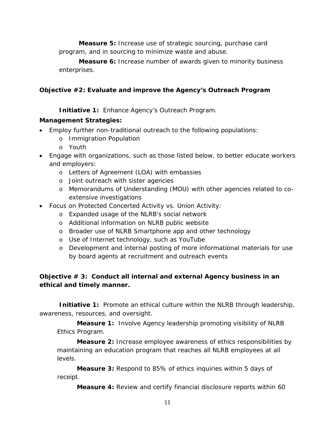**Measure 5:** Increase use of strategic sourcing, purchase card program, and in sourcing to minimize waste and abuse.

**Measure 6:** Increase number of awards given to minority business enterprises.

#### **Objective #2: Evaluate and improve the Agency's Outreach Program**

**Initiative 1:** Enhance Agency's Outreach Program.

#### **Management Strategies:**

- Employ further non-traditional outreach to the following populations:
	- o Immigration Population
	- o Youth
- Engage with organizations, such as those listed below, to better educate workers and employers:
	- o Letters of Agreement (LOA) with embassies
	- o Joint outreach with sister agencies
	- o Memorandums of Understanding (MOU) with other agencies related to coextensive investigations
- Focus on Protected Concerted Activity vs. Union Activity:
	- o Expanded usage of the NLRB's social network
	- o Additional information on NLRB public website
	- o Broader use of NLRB Smartphone app and other technology
	- o Use of Internet technology, such as YouTube
	- o Development and internal posting of more informational materials for use by board agents at recruitment and outreach events

#### **Objective # 3: Conduct all internal and external Agency business in an ethical and timely manner.**

**Initiative 1:** Promote an ethical culture within the NLRB through leadership, awareness, resources, and oversight.

**Measure 1:** Involve Agency leadership promoting visibility of NLRB Ethics Program.

**Measure 2:** Increase employee awareness of ethics responsibilities by maintaining an education program that reaches all NLRB employees at all levels.

**Measure 3:** Respond to 85% of ethics inquiries within 5 days of receipt.

**Measure 4:** Review and certify financial disclosure reports within 60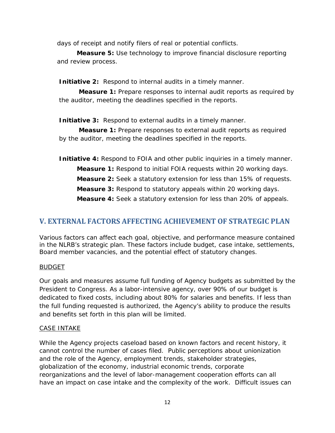days of receipt and notify filers of real or potential conflicts.

**Measure 5:** Use technology to improve financial disclosure reporting and review process.

**Initiative 2:** Respond to internal audits in a timely manner.

**Measure 1:** Prepare responses to internal audit reports as required by the auditor, meeting the deadlines specified in the reports.

**Initiative 3:** Respond to external audits in a timely manner.

**Measure 1:** Prepare responses to external audit reports as required by the auditor, meeting the deadlines specified in the reports.

**Initiative 4:** Respond to FOIA and other public inquiries in a timely manner.

**Measure 1:** Respond to initial FOIA requests within 20 working days.

**Measure 2:** Seek a statutory extension for less than 15% of requests.

**Measure 3:** Respond to statutory appeals within 20 working days.

**Measure 4:** Seek a statutory extension for less than 20% of appeals.

### <span id="page-11-0"></span>**V. EXTERNAL FACTORS AFFECTING ACHIEVEMENT OF STRATEGIC PLAN**

Various factors can affect each goal, objective, and performance measure contained in the NLRB's strategic plan. These factors include budget, case intake, settlements, Board member vacancies, and the potential effect of statutory changes.

#### **BUDGET**

Our goals and measures assume full funding of Agency budgets as submitted by the President to Congress. As a labor-intensive agency, over 90% of our budget is dedicated to fixed costs, including about 80% for salaries and benefits. If less than the full funding requested is authorized, the Agency's ability to produce the results and benefits set forth in this plan will be limited.

#### CASE INTAKE

While the Agency projects caseload based on known factors and recent history, it cannot control the number of cases filed. Public perceptions about unionization and the role of the Agency, employment trends, stakeholder strategies, globalization of the economy, industrial economic trends, corporate reorganizations and the level of labor-management cooperation efforts can all have an impact on case intake and the complexity of the work. Difficult issues can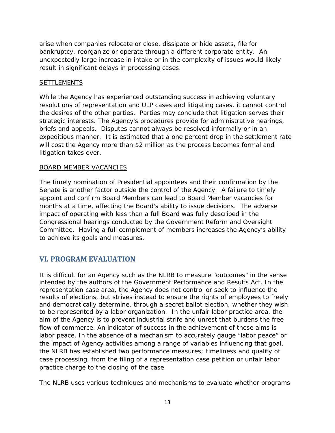arise when companies relocate or close, dissipate or hide assets, file for bankruptcy, reorganize or operate through a different corporate entity. An unexpectedly large increase in intake or in the complexity of issues would likely result in significant delays in processing cases.

#### **SETTLEMENTS**

While the Agency has experienced outstanding success in achieving voluntary resolutions of representation and ULP cases and litigating cases, it cannot control the desires of the other parties. Parties may conclude that litigation serves their strategic interests. The Agency's procedures provide for administrative hearings, briefs and appeals. Disputes cannot always be resolved informally or in an expeditious manner. It is estimated that a one percent drop in the settlement rate will cost the Agency more than \$2 million as the process becomes formal and litigation takes over.

#### BOARD MEMBER VACANCIES

The timely nomination of Presidential appointees and their confirmation by the Senate is another factor outside the control of the Agency. A failure to timely appoint and confirm Board Members can lead to Board Member vacancies for months at a time, affecting the Board's ability to issue decisions. The adverse impact of operating with less than a full Board was fully described in the Congressional hearings conducted by the Government Reform and Oversight Committee. Having a full complement of members increases the Agency's ability to achieve its goals and measures.

#### <span id="page-12-0"></span>**VI. PROGRAM EVALUATION**

It is difficult for an Agency such as the NLRB to measure "outcomes" in the sense intended by the authors of the Government Performance and Results Act. In the representation case area, the Agency does not control or seek to influence the results of elections, but strives instead to ensure the rights of employees to freely and democratically determine, through a secret ballot election, whether they wish to be represented by a labor organization. In the unfair labor practice area, the aim of the Agency is to prevent industrial strife and unrest that burdens the free flow of commerce. An indicator of success in the achievement of these aims is labor peace. In the absence of a mechanism to accurately gauge "labor peace" or the impact of Agency activities among a range of variables influencing that goal, the NLRB has established two performance measures; timeliness and quality of case processing, from the filing of a representation case petition or unfair labor practice charge to the closing of the case.

The NLRB uses various techniques and mechanisms to evaluate whether programs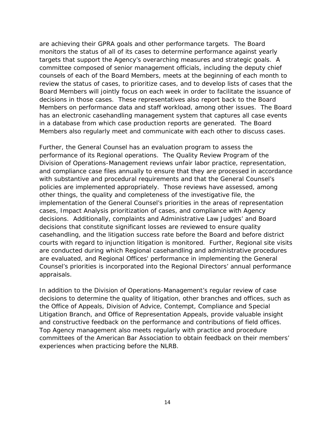are achieving their GPRA goals and other performance targets. The Board monitors the status of all of its cases to determine performance against yearly targets that support the Agency's overarching measures and strategic goals. A committee composed of senior management officials, including the deputy chief counsels of each of the Board Members, meets at the beginning of each month to review the status of cases, to prioritize cases, and to develop lists of cases that the Board Members will jointly focus on each week in order to facilitate the issuance of decisions in those cases. These representatives also report back to the Board Members on performance data and staff workload, among other issues. The Board has an electronic casehandling management system that captures all case events in a database from which case production reports are generated. The Board Members also regularly meet and communicate with each other to discuss cases.

Further, the General Counsel has an evaluation program to assess the performance of its Regional operations. The Quality Review Program of the Division of Operations-Management reviews unfair labor practice, representation, and compliance case files annually to ensure that they are processed in accordance with substantive and procedural requirements and that the General Counsel's policies are implemented appropriately. Those reviews have assessed, among other things, the quality and completeness of the investigative file, the implementation of the General Counsel's priorities in the areas of representation cases, Impact Analysis prioritization of cases, and compliance with Agency decisions. Additionally, complaints and Administrative Law Judges' and Board decisions that constitute significant losses are reviewed to ensure quality casehandling, and the litigation success rate before the Board and before district courts with regard to injunction litigation is monitored. Further, Regional site visits are conducted during which Regional casehandling and administrative procedures are evaluated, and Regional Offices' performance in implementing the General Counsel's priorities is incorporated into the Regional Directors' annual performance appraisals.

In addition to the Division of Operations-Management's regular review of case decisions to determine the quality of litigation, other branches and offices, such as the Office of Appeals, Division of Advice, Contempt, Compliance and Special Litigation Branch, and Office of Representation Appeals, provide valuable insight and constructive feedback on the performance and contributions of field offices. Top Agency management also meets regularly with practice and procedure committees of the American Bar Association to obtain feedback on their members' experiences when practicing before the NLRB.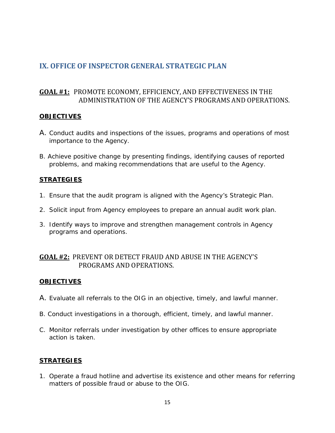### <span id="page-14-0"></span>**IX. OFFICE OF INSPECTOR GENERAL STRATEGIC PLAN**

#### **GOAL #1:** PROMOTE ECONOMY, EFFICIENCY, AND EFFECTIVENESS IN THE ADMINISTRATION OF THE AGENCY'S PROGRAMS AND OPERATIONS.

#### **OBJECTIVES**

- A. Conduct audits and inspections of the issues, programs and operations of most importance to the Agency.
- B. Achieve positive change by presenting findings, identifying causes of reported problems, and making recommendations that are useful to the Agency.

#### **STRATEGIES**

- 1. Ensure that the audit program is aligned with the Agency's Strategic Plan.
- 2. Solicit input from Agency employees to prepare an annual audit work plan.
- 3. Identify ways to improve and strengthen management controls in Agency programs and operations.

#### **GOAL #2:** PREVENT OR DETECT FRAUD AND ABUSE IN THE AGENCY'S PROGRAMS AND OPERATIONS.

#### **OBJECTIVES**

- A. Evaluate all referrals to the OIG in an objective, timely, and lawful manner.
- B. Conduct investigations in a thorough, efficient, timely, and lawful manner.
- C. Monitor referrals under investigation by other offices to ensure appropriate action is taken.

#### **STRATEGIES**

1. Operate a fraud hotline and advertise its existence and other means for referring matters of possible fraud or abuse to the OIG.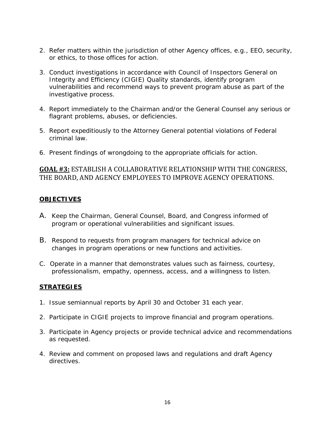- 2. Refer matters within the jurisdiction of other Agency offices, e.g., EEO, security, or ethics, to those offices for action.
- 3. Conduct investigations in accordance with Council of Inspectors General on Integrity and Efficiency (CIGIE) Quality standards, identify program vulnerabilities and recommend ways to prevent program abuse as part of the investigative process.
- 4. Report immediately to the Chairman and/or the General Counsel any serious or flagrant problems, abuses, or deficiencies.
- 5. Report expeditiously to the Attorney General potential violations of Federal criminal law.
- 6. Present findings of wrongdoing to the appropriate officials for action.

#### **GOAL #3:** ESTABLISH A COLLABORATIVE RELATIONSHIP WITH THE CONGRESS, THE BOARD, AND AGENCY EMPLOYEES TO IMPROVE AGENCY OPERATIONS.

#### **OBJECTIVES**

- A. Keep the Chairman, General Counsel, Board, and Congress informed of program or operational vulnerabilities and significant issues.
- B. Respond to requests from program managers for technical advice on changes in program operations or new functions and activities.
- C. Operate in a manner that demonstrates values such as fairness, courtesy, professionalism, empathy, openness, access, and a willingness to listen.

#### **STRATEGIES**

- 1. Issue semiannual reports by April 30 and October 31 each year.
- 2. Participate in CIGIE projects to improve financial and program operations.
- 3. Participate in Agency projects or provide technical advice and recommendations as requested.
- 4. Review and comment on proposed laws and regulations and draft Agency directives.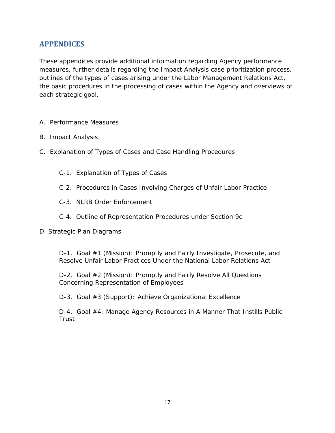#### <span id="page-16-0"></span>**APPENDICES**

These appendices provide additional information regarding Agency performance measures, further details regarding the Impact Analysis case prioritization process, outlines of the types of cases arising under the Labor Management Relations Act, the basic procedures in the processing of cases within the Agency and overviews of each strategic goal.

#### A. Performance Measures

- B. Impact Analysis
- C. Explanation of Types of Cases and Case Handling Procedures
	- C-1. Explanation of Types of Cases
	- C-2. Procedures in Cases Involving Charges of Unfair Labor Practice
	- C-3. NLRB Order Enforcement
	- C-4. Outline of Representation Procedures under Section 9c

#### D. Strategic Plan Diagrams

D-1. Goal #1 (Mission): Promptly and Fairly Investigate, Prosecute, and Resolve Unfair Labor Practices Under the National Labor Relations Act

D-2. Goal #2 (Mission): Promptly and Fairly Resolve All Questions Concerning Representation of Employees

D-3. Goal #3 (Support): Achieve Organizational Excellence

D-4. Goal #4: Manage Agency Resources in A Manner That Instills Public Trust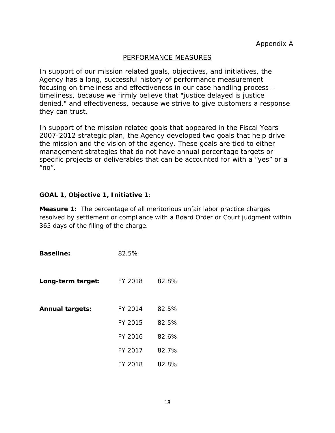#### PERFORMANCE MEASURES

In support of our mission related goals, objectives, and initiatives, the Agency has a long, successful history of performance measurement focusing on timeliness and effectiveness in our case handling process – timeliness, because we firmly believe that "justice delayed is justice denied," and effectiveness, because we strive to give customers a response they can trust.

In support of the mission related goals that appeared in the Fiscal Years 2007-2012 strategic plan, the Agency developed two goals that help drive the mission and the vision of the agency. These goals are tied to either management strategies that do not have annual percentage targets or specific projects or deliverables that can be accounted for with a "yes" or a  $"no"$ .

#### **GOAL 1, Objective 1, Initiative 1**:

**Measure 1:** The percentage of all meritorious unfair labor practice charges resolved by settlement or compliance with a Board Order or Court judgment within 365 days of the filing of the charge.

| <b>Baseline:</b>       | 82.5%   |       |
|------------------------|---------|-------|
| Long-term target:      | FY 2018 | 82.8% |
| <b>Annual targets:</b> | FY 2014 | 82.5% |
|                        | FY 2015 | 82.5% |
|                        | FY 2016 | 82.6% |
|                        | FY 2017 | 82.7% |
|                        | FY 2018 | 82.8% |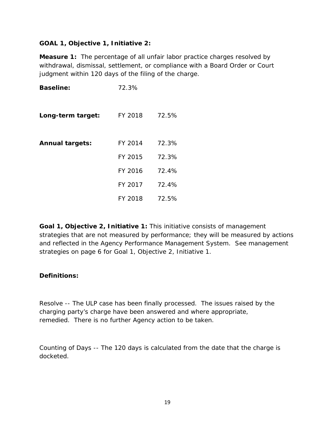#### **GOAL 1, Objective 1, Initiative 2:**

**Measure 1:** The percentage of all unfair labor practice charges resolved by withdrawal, dismissal, settlement, or compliance with a Board Order or Court judgment within 120 days of the filing of the charge.

| <b>Baseline:</b>       | 72.3%   |       |
|------------------------|---------|-------|
| Long-term target:      | FY 2018 | 72.5% |
| <b>Annual targets:</b> | FY 2014 | 72.3% |
|                        | FY 2015 | 72.3% |
|                        | FY 2016 | 72.4% |
|                        | FY 2017 | 72.4% |
|                        | FY 2018 | 72.5% |

**Goal 1, Objective 2, Initiative 1:** This initiative consists of management strategies that are not measured by performance; they will be measured by actions and reflected in the Agency Performance Management System. See management strategies on page 6 for Goal 1, Objective 2, Initiative 1.

#### **Definitions:**

*Resolve* -- The ULP case has been finally processed. The issues raised by the charging party's charge have been answered and where appropriate, remedied. There is no further Agency action to be taken.

*Counting of Days* -- The 120 days is calculated from the date that the charge is docketed.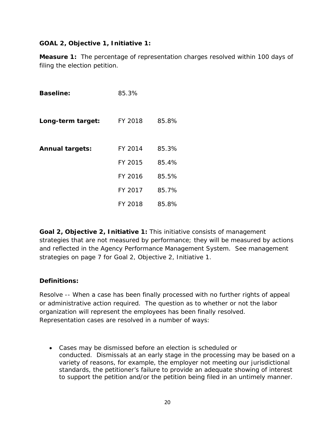#### **GOAL 2, Objective 1, Initiative 1:**

**Measure 1:** The percentage of representation charges resolved within 100 days of filing the election petition.

| <b>Baseline:</b>       | 85.3%   |       |
|------------------------|---------|-------|
| Long-term target:      | FY 2018 | 85.8% |
| <b>Annual targets:</b> | FY 2014 | 85.3% |
|                        | FY 2015 | 85.4% |
|                        | FY 2016 | 85.5% |
|                        | FY 2017 | 85.7% |
|                        | FY 2018 | 85.8% |

**Goal 2, Objective 2, Initiative 1:** This initiative consists of management strategies that are not measured by performance; they will be measured by actions and reflected in the Agency Performance Management System. See management strategies on page 7 for Goal 2, Objective 2, Initiative 1.

#### **Definitions:**

*Resolve* -- When a case has been finally processed with no further rights of appeal or administrative action required. The question as to whether or not the labor organization will represent the employees has been finally resolved. Representation cases are resolved in a number of ways:

• Cases may be dismissed before an election is scheduled or conducted. Dismissals at an early stage in the processing may be based on a variety of reasons, for example, the employer not meeting our jurisdictional standards, the petitioner's failure to provide an adequate showing of interest to support the petition and/or the petition being filed in an untimely manner.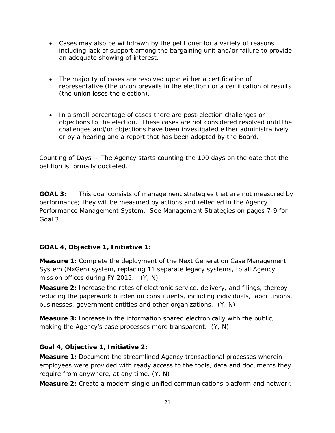- Cases may also be withdrawn by the petitioner for a variety of reasons including lack of support among the bargaining unit and/or failure to provide an adequate showing of interest.
- The majority of cases are resolved upon either a certification of representative (the union prevails in the election) or a certification of results (the union loses the election).
- In a small percentage of cases there are post-election challenges or objections to the election. These cases are not considered resolved until the challenges and/or objections have been investigated either administratively or by a hearing and a report that has been adopted by the Board.

*Counting of Days --* The Agency starts counting the 100 days on the date that the petition is formally docketed.

**GOAL 3:** This goal consists of management strategies that are not measured by performance; they will be measured by actions and reflected in the Agency Performance Management System. See Management Strategies on pages 7-9 for Goal 3.

#### **GOAL 4, Objective 1, Initiative 1:**

**Measure 1:** Complete the deployment of the Next Generation Case Management System (NxGen) system, replacing 11 separate legacy systems, to all Agency mission offices during FY 2015. (Y, N)

**Measure 2:** Increase the rates of electronic service, delivery, and filings, thereby reducing the paperwork burden on constituents, including individuals, labor unions, businesses, government entities and other organizations. (Y, N)

**Measure 3:** Increase in the information shared electronically with the public, making the Agency's case processes more transparent. (Y, N)

#### **Goal 4, Objective 1, Initiative 2:**

**Measure 1:** Document the streamlined Agency transactional processes wherein employees were provided with ready access to the tools, data and documents they require from anywhere, at any time. (Y, N)

**Measure 2:** Create a modern single unified communications platform and network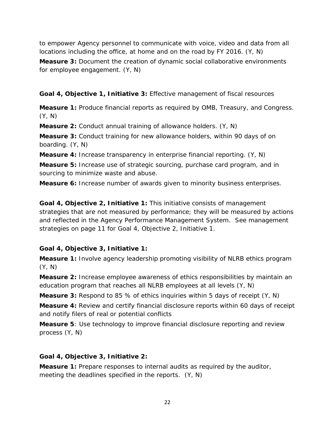to empower Agency personnel to communicate with voice, video and data from all locations including the office, at home and on the road by FY 2016. (Y, N)

**Measure 3:** Document the creation of dynamic social collaborative environments for employee engagement. (Y, N)

**Goal 4, Objective 1, Initiative 3:** Effective management of fiscal resources

**Measure 1:** Produce financial reports as required by OMB, Treasury, and Congress. (Y, N)

**Measure 2:** Conduct annual training of allowance holders. (Y, N)

**Measure 3:** Conduct training for new allowance holders, within 90 days of on boarding. (Y, N)

**Measure 4:** Increase transparency in enterprise financial reporting. (Y, N)

**Measure 5:** Increase use of strategic sourcing, purchase card program, and in sourcing to minimize waste and abuse.

**Measure 6:** Increase number of awards given to minority business enterprises.

**Goal 4, Objective 2, Initiative 1:** This initiative consists of management strategies that are not measured by performance; they will be measured by actions and reflected in the Agency Performance Management System. See management strategies on page 11 for Goal 4, Objective 2, Initiative 1.

#### **Goal 4, Objective 3, Initiative 1:**

**Measure 1:** Involve agency leadership promoting visibility of NLRB ethics program (Y, N)

**Measure 2:** Increase employee awareness of ethics responsibilities by maintain an education program that reaches all NLRB employees at all levels (Y, N)

**Measure 3:** Respond to 85 % of ethics inquiries within 5 days of receipt (Y, N)

**Measure 4:** Review and certify financial disclosure reports within 60 days of receipt and notify filers of real or potential conflicts

**Measure 5**: Use technology to improve financial disclosure reporting and review process (Y, N)

#### **Goal 4, Objective 3, Initiative 2:**

**Measure 1:** Prepare responses to internal audits as required by the auditor, meeting the deadlines specified in the reports. (Y, N)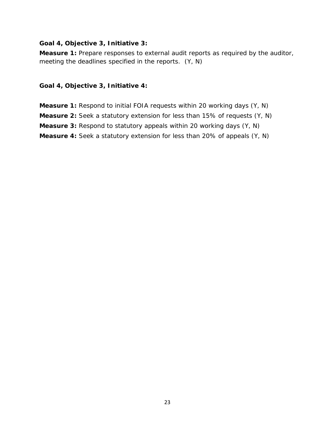#### **Goal 4, Objective 3, Initiative 3:**

**Measure 1:** Prepare responses to external audit reports as required by the auditor, meeting the deadlines specified in the reports. (Y, N)

#### **Goal 4, Objective 3, Initiative 4:**

**Measure 1:** Respond to initial FOIA requests within 20 working days (Y, N)

**Measure 2:** Seek a statutory extension for less than 15% of requests (Y, N)

**Measure 3:** Respond to statutory appeals within 20 working days (Y, N)

**Measure 4:** Seek a statutory extension for less than 20% of appeals (Y, N)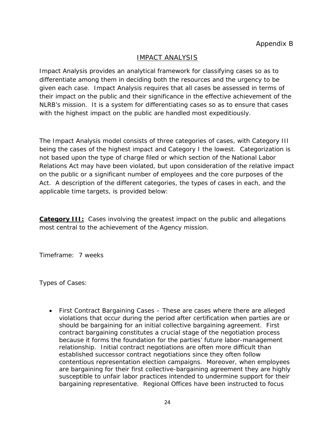#### IMPACT ANALYSIS

Impact Analysis provides an analytical framework for classifying cases so as to differentiate among them in deciding both the resources and the urgency to be given each case. Impact Analysis requires that all cases be assessed in terms of their impact on the public and their significance in the effective achievement of the NLRB's mission. It is a system for differentiating cases so as to ensure that cases with the highest impact on the public are handled most expeditiously.

The Impact Analysis model consists of three categories of cases, with Category III being the cases of the highest impact and Category I the lowest. Categorization is not based upon the type of charge filed or which section of the National Labor Relations Act may have been violated, but upon consideration of the relative impact on the public or a significant number of employees and the core purposes of the Act. A description of the different categories, the types of cases in each, and the applicable time targets, is provided below:

**Category III:** Cases involving the greatest impact on the public and allegations most central to the achievement of the Agency mission.

Timeframe: 7 weeks

Types of Cases:

• First Contract Bargaining Cases – These are cases where there are alleged violations that occur during the period after certification when parties are or should be bargaining for an initial collective bargaining agreement. First contract bargaining constitutes a crucial stage of the negotiation process because it forms the foundation for the parties' future labor-management relationship. Initial contract negotiations are often more difficult than established successor contract negotiations since they often follow contentious representation election campaigns. Moreover, when employees are bargaining for their first collective-bargaining agreement they are highly susceptible to unfair labor practices intended to undermine support for their bargaining representative. Regional Offices have been instructed to focus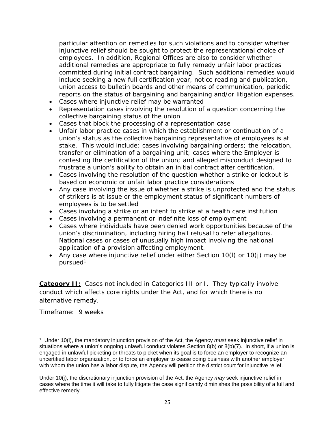particular attention on remedies for such violations and to consider whether injunctive relief should be sought to protect the representational choice of employees. In addition, Regional Offices are also to consider whether additional remedies are appropriate to fully remedy unfair labor practices committed during initial contract bargaining. Such additional remedies would include seeking a new full certification year, notice reading and publication, union access to bulletin boards and other means of communication, periodic reports on the status of bargaining and bargaining and/or litigation expenses.

- Cases where injunctive relief may be warranted
- Representation cases involving the resolution of a question concerning the collective bargaining status of the union
- Cases that block the processing of a representation case
- Unfair labor practice cases in which the establishment or continuation of a union's status as the collective bargaining representative of employees is at stake. This would include: cases involving bargaining orders; the relocation, transfer or elimination of a bargaining unit; cases where the Employer is contesting the certification of the union; and alleged misconduct designed to frustrate a union's ability to obtain an initial contract after certification.
- Cases involving the resolution of the question whether a strike or lockout is based on economic or unfair labor practice considerations
- Any case involving the issue of whether a strike is unprotected and the status of strikers is at issue or the employment status of significant numbers of employees is to be settled
- Cases involving a strike or an intent to strike at a health care institution
- Cases involving a permanent or indefinite loss of employment
- Cases where individuals have been denied work opportunities because of the union's discrimination, including hiring hall refusal to refer allegations. National cases or cases of unusually high impact involving the national application of a provision affecting employment.
- Any case where injunctive relief under either Section 10(l) or 10(j) may be  $pure<sup>1</sup>$  $pure<sup>1</sup>$  $pure<sup>1</sup>$

**Category II:** Cases not included in Categories III or I. They typically involve conduct which affects core rights under the Act, and for which there is no alternative remedy.

Timeframe: 9 weeks

 $\overline{\phantom{a}}$ 

<span id="page-24-0"></span><sup>1</sup> Under 10(l), the mandatory injunction provision of the Act, the Agency *must* seek injunctive relief in situations where a union's ongoing unlawful conduct violates Section 8(b) or 8(b)(7). In short, if a union is engaged in unlawful picketing or threats to picket when its goal is to force an employer to recognize an uncertified labor organization, or to force an employer to cease doing business with another employer with whom the union has a labor dispute, the Agency will petition the district court for injunctive relief.

Under 10(j), the discretionary injunction provision of the Act, the Agency *may* seek injunctive relief in cases where the time it will take to fully litigate the case significantly diminishes the possibility of a full and effective remedy.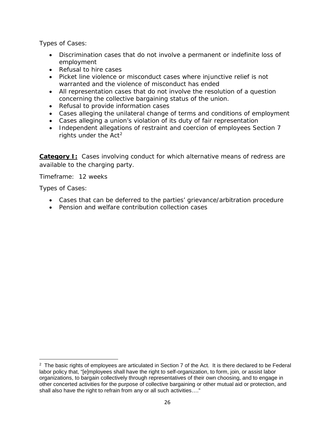Types of Cases:

- Discrimination cases that do not involve a permanent or indefinite loss of employment
- Refusal to hire cases
- Picket line violence or misconduct cases where injunctive relief is not warranted and the violence of misconduct has ended
- All representation cases that do not involve the resolution of a question concerning the collective bargaining status of the union.
- Refusal to provide information cases
- Cases alleging the unilateral change of terms and conditions of employment
- Cases alleging a union's violation of its duty of fair representation
- Independent allegations of restraint and coercion of employees Section 7 rights under the Act<sup>[2](#page-25-0)</sup>

**Category I:** Cases involving conduct for which alternative means of redress are available to the charging party.

Timeframe: 12 weeks

Types of Cases:

- Cases that can be deferred to the parties' grievance/arbitration procedure
- Pension and welfare contribution collection cases

<span id="page-25-0"></span><sup>&</sup>lt;sup>2</sup> The basic rights of employees are articulated in Section 7 of the Act. It is there declared to be Federal labor policy that, "[e]mployees shall have the right to self-organization, to form, join, or assist labor organizations, to bargain collectively through representatives of their own choosing, and to engage in other concerted activities for the purpose of collective bargaining or other mutual aid or protection, and shall also have the right to refrain from any or all such activities…."  $\overline{\phantom{a}}$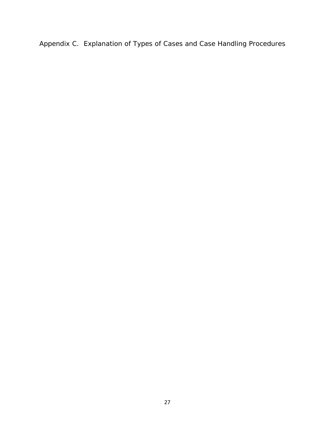Appendix C. Explanation of Types of Cases and Case Handling Procedures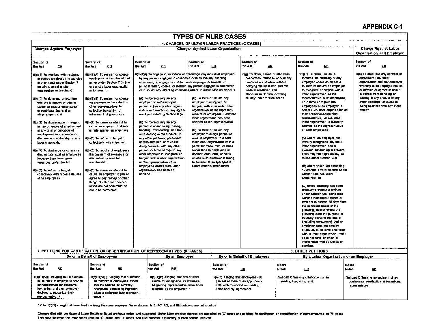#### **APPENDIX C-1**

| <b>TYPES OF NLRB CASES</b>                                                                                                                                                                                                                                                                                                                                                                                                                                                                                                                                                                                                                                                                                                                                |                                                                                                                                                                                                                                                                                                                                                                                                                                                                                                                                                                                                                                                                                                                                                                                        |                                                                                                                                                                                                                                                                                                                                                                                                                                                                                                                                                                                                                                                                                                                                                                                                                                                                                                                                                                                                                                                                                             |                                                                                                                                                                                                                                                                                                                                                                                                                                                                                                                                                                                  |                              |                                                                                                                                                                                                                                                               |    |                              |                                                                    |                                                                                                                                                                                                                                                                                                                                                                                                                                                                                                                                                                                                                                                                                                                                                                                                                                                                                                                                                                                                                                                                                                                                                                                                                                                                                                                         |                                                                                                                                                                                                                                                                                                          |                                                      |                                         |  |
|-----------------------------------------------------------------------------------------------------------------------------------------------------------------------------------------------------------------------------------------------------------------------------------------------------------------------------------------------------------------------------------------------------------------------------------------------------------------------------------------------------------------------------------------------------------------------------------------------------------------------------------------------------------------------------------------------------------------------------------------------------------|----------------------------------------------------------------------------------------------------------------------------------------------------------------------------------------------------------------------------------------------------------------------------------------------------------------------------------------------------------------------------------------------------------------------------------------------------------------------------------------------------------------------------------------------------------------------------------------------------------------------------------------------------------------------------------------------------------------------------------------------------------------------------------------|---------------------------------------------------------------------------------------------------------------------------------------------------------------------------------------------------------------------------------------------------------------------------------------------------------------------------------------------------------------------------------------------------------------------------------------------------------------------------------------------------------------------------------------------------------------------------------------------------------------------------------------------------------------------------------------------------------------------------------------------------------------------------------------------------------------------------------------------------------------------------------------------------------------------------------------------------------------------------------------------------------------------------------------------------------------------------------------------|----------------------------------------------------------------------------------------------------------------------------------------------------------------------------------------------------------------------------------------------------------------------------------------------------------------------------------------------------------------------------------------------------------------------------------------------------------------------------------------------------------------------------------------------------------------------------------|------------------------------|---------------------------------------------------------------------------------------------------------------------------------------------------------------------------------------------------------------------------------------------------------------|----|------------------------------|--------------------------------------------------------------------|-------------------------------------------------------------------------------------------------------------------------------------------------------------------------------------------------------------------------------------------------------------------------------------------------------------------------------------------------------------------------------------------------------------------------------------------------------------------------------------------------------------------------------------------------------------------------------------------------------------------------------------------------------------------------------------------------------------------------------------------------------------------------------------------------------------------------------------------------------------------------------------------------------------------------------------------------------------------------------------------------------------------------------------------------------------------------------------------------------------------------------------------------------------------------------------------------------------------------------------------------------------------------------------------------------------------------|----------------------------------------------------------------------------------------------------------------------------------------------------------------------------------------------------------------------------------------------------------------------------------------------------------|------------------------------------------------------|-----------------------------------------|--|
| 1. CHARGES OF UNFAIR LABOR PRACTICES (C CASES)                                                                                                                                                                                                                                                                                                                                                                                                                                                                                                                                                                                                                                                                                                            |                                                                                                                                                                                                                                                                                                                                                                                                                                                                                                                                                                                                                                                                                                                                                                                        |                                                                                                                                                                                                                                                                                                                                                                                                                                                                                                                                                                                                                                                                                                                                                                                                                                                                                                                                                                                                                                                                                             |                                                                                                                                                                                                                                                                                                                                                                                                                                                                                                                                                                                  |                              |                                                                                                                                                                                                                                                               |    |                              |                                                                    |                                                                                                                                                                                                                                                                                                                                                                                                                                                                                                                                                                                                                                                                                                                                                                                                                                                                                                                                                                                                                                                                                                                                                                                                                                                                                                                         |                                                                                                                                                                                                                                                                                                          |                                                      |                                         |  |
| <b>Charges Against Employer</b>                                                                                                                                                                                                                                                                                                                                                                                                                                                                                                                                                                                                                                                                                                                           | <b>Charges Against Labor Organization</b>                                                                                                                                                                                                                                                                                                                                                                                                                                                                                                                                                                                                                                                                                                                                              |                                                                                                                                                                                                                                                                                                                                                                                                                                                                                                                                                                                                                                                                                                                                                                                                                                                                                                                                                                                                                                                                                             |                                                                                                                                                                                                                                                                                                                                                                                                                                                                                                                                                                                  |                              |                                                                                                                                                                                                                                                               |    |                              | <b>Charge Against Labor</b><br>Organization and Employer           |                                                                                                                                                                                                                                                                                                                                                                                                                                                                                                                                                                                                                                                                                                                                                                                                                                                                                                                                                                                                                                                                                                                                                                                                                                                                                                                         |                                                                                                                                                                                                                                                                                                          |                                                      |                                         |  |
| Section of<br>the Act<br><b>CA</b>                                                                                                                                                                                                                                                                                                                                                                                                                                                                                                                                                                                                                                                                                                                        | Saction of<br>the Act<br><u>CB</u>                                                                                                                                                                                                                                                                                                                                                                                                                                                                                                                                                                                                                                                                                                                                                     | Section of<br>the Act<br>cc                                                                                                                                                                                                                                                                                                                                                                                                                                                                                                                                                                                                                                                                                                                                                                                                                                                                                                                                                                                                                                                                 | Section of<br>the Act<br>CD.                                                                                                                                                                                                                                                                                                                                                                                                                                                                                                                                                     |                              | Section of<br>the Act                                                                                                                                                                                                                                         | ⊆Œ |                              | Section of<br>the Act                                              | <u>CP</u>                                                                                                                                                                                                                                                                                                                                                                                                                                                                                                                                                                                                                                                                                                                                                                                                                                                                                                                                                                                                                                                                                                                                                                                                                                                                                                               |                                                                                                                                                                                                                                                                                                          | Section of<br>the Act                                | CE.                                     |  |
| 8(a)(1) To interfere with, restrain,<br>or coarce employees in exercise<br>of their rights under Section 7<br>for loin or assist a labor<br>organization or to refrain)<br>8(a)(2) To dominate or interfere<br>with the formation or admini-<br>station of a labor organization<br>or contribute financial or<br>other support to it.<br>8(a)(3) By discrimination in regard<br>to hire or tenure of employment<br>or any term or condition of<br>employment to encourage or<br>discourage membership in any<br>labor omanization<br>8(a)(4) To discharge or otherwise<br>discriminate against employees<br>because they have given<br>tesumony under the Act.<br>8(a)(5) To refuse to bargain.<br>collectively with representatives<br>of its employees. | 8(b)(1)(A) To restrain or coerce<br>employees in coarcise of their<br>rights under Section 7 (to join<br>or assist a labor organization<br>or lo refrain).<br>8(b)(1)(B) To restrain or coarce<br>an employer in the selection<br>of its representatives for<br>collective bargaining or<br>adjustment of grievances.<br>8(b)(2) To cause or attempt to<br>cause an employer to discri-<br>minate against an employee.<br>8(b)(3) To refuse to bargain<br>collectively with employer.<br>8(b)(5) To require of employees<br>the payment of excessive or<br>discriminatory fees for<br>membership.<br>8(b)(8) To ceuse or attempt to<br>cause an employer to pay or<br>agree to pay money or other<br>things of value for services<br>which are not performed or<br>not to be performed | 8(b)(4)(i) To engage in, or induce or encourage any individual employed<br>by any person engagad in commerce or in an industry affecting<br>commerce, to engage in a strike, work stoppege, or boycott, or<br>(ii) to threaten, coerce, or restrain any person engaged in commerce<br>or in an industry affecting commerce, where in either case an object is.<br>(A) To force or require any<br>employer or self-employed<br>person to join any labor organ-<br>ization or to enter into any agree-<br>ment prohibited by Section 8 (e).<br>(B) To force or require any<br>person to cease using, selling,<br>handling, trensporting, or other-<br>wise dealing in the products of<br>any other producer, processor,<br>or manufacturer, or to cease<br>doing business with any other<br>person, or force or require any<br>other employer to recognice or<br>bargain with a labor organization<br>as the representative of its<br>employees unless such labor<br>organization has been so<br>certified.<br>2. PETITIONS FOR CERTIFICATION OR DECERTIFICATION OF REPRESENTATIVES (R CASES) | (C) To force or require any<br>employer to recognize or<br>bargain with a particular labor<br>organization as the represent-<br>alive of its employees if another<br>labor organization has been<br>certified as the representative<br>(D) To force or require any<br>employer to assign perticular<br>work to employees in a parti-<br>cular labor organization or in a<br>particular trade, craft, or class<br>rather than to employees in<br>another trade, craft, or class,<br>unless such employer is failing<br>to comom to an appropriate<br>Board order or certification |                              | 8(g) To strike, picket, or otherwise<br>concernedly refuse to work at any<br>health care institution without<br>notifying the institution and the<br>Federal Mediation and<br>Conciliation Service in writing<br>10 days orter to such action<br>conducted ar |    |                              |                                                                    | 8(b)(7) To picket, cause or<br>threaten the picketing of any<br>employer where an object is<br>to force or require an employer<br>to recognize or bargain with a<br>labor organization as the<br>representative of its employees.<br>or to force or require the<br>employees of an employer to<br>salact such labor organization as<br>their collective-bargaming<br>representative, unless such<br>tabor organization is currently<br>certified as the representative<br>of such employees.<br>(A) where the employer has<br>lawfully recognized any other<br>lebor organization and a<br>question concerning represent-<br>ation may not appropriately be<br>raised under Section 9(c)<br>(B) where within the preceding<br>12 months a valid election under<br>Section 9(c) has been<br>(C) where pickating has been<br>conducted without a getition<br>under Saction 9(c) being filed<br>wrthin a reasonable period of<br>time not to exceed 30 days from<br>the commencement of the<br>proteting, except where the<br>picketing is for the purpose of<br>initinuity advising the public<br>(including consumers) that an<br>employer does not employ<br>members of, or have a contract<br>with a labor organization, and it<br>does not have an effect of<br>interference with deliverles or<br>3. OTHER PETITIONS | 8(e) To enter into any contract or<br>agreement (any labor<br>organization and any amployer)<br>whereby such employer ceases<br>or refrains or agrees to cease<br>or refrain from handling or<br>dealing in any product of any<br>other employer, or to cease<br>doing business with any other<br>person |                                                      |                                         |  |
|                                                                                                                                                                                                                                                                                                                                                                                                                                                                                                                                                                                                                                                                                                                                                           | By or in Behalf of Employees                                                                                                                                                                                                                                                                                                                                                                                                                                                                                                                                                                                                                                                                                                                                                           | By an Employer                                                                                                                                                                                                                                                                                                                                                                                                                                                                                                                                                                                                                                                                                                                                                                                                                                                                                                                                                                                                                                                                              |                                                                                                                                                                                                                                                                                                                                                                                                                                                                                                                                                                                  | By or in Behalf of Employees |                                                                                                                                                                                                                                                               |    |                              |                                                                    | By a Labor Organization or an Employer                                                                                                                                                                                                                                                                                                                                                                                                                                                                                                                                                                                                                                                                                                                                                                                                                                                                                                                                                                                                                                                                                                                                                                                                                                                                                  |                                                                                                                                                                                                                                                                                                          |                                                      |                                         |  |
| Section of<br>the Act<br><b>RC</b>                                                                                                                                                                                                                                                                                                                                                                                                                                                                                                                                                                                                                                                                                                                        | Section of<br>the Act<br>巴                                                                                                                                                                                                                                                                                                                                                                                                                                                                                                                                                                                                                                                                                                                                                             | Section of<br>the Act<br>RM                                                                                                                                                                                                                                                                                                                                                                                                                                                                                                                                                                                                                                                                                                                                                                                                                                                                                                                                                                                                                                                                 | the Act                                                                                                                                                                                                                                                                                                                                                                                                                                                                                                                                                                          | Section of                   | <u>UD</u>                                                                                                                                                                                                                                                     |    | <b>Board</b><br><b>Rules</b> | UC.                                                                |                                                                                                                                                                                                                                                                                                                                                                                                                                                                                                                                                                                                                                                                                                                                                                                                                                                                                                                                                                                                                                                                                                                                                                                                                                                                                                                         | Board<br><b>Rufes</b>                                                                                                                                                                                                                                                                                    | AC.                                                  |                                         |  |
| 9(c)(1)(A)(i) Alleging that a substan-<br>tial number of employees wish to<br>be represented for collective<br>bargaining and their employer<br>declines to recognize their<br>representative. *                                                                                                                                                                                                                                                                                                                                                                                                                                                                                                                                                          | 9(c)(1)(A)(ii) Alleging that a substan-<br>tial number of employees assert<br>that the certified or currently<br>recognized bargaining represen-<br>tative is no longer their represen-<br>tative,                                                                                                                                                                                                                                                                                                                                                                                                                                                                                                                                                                                     | 9(c)(1)(B) Alleging that one or more<br>claims for recognition as exclusive<br>bergaining representative have been<br>received by the employer *                                                                                                                                                                                                                                                                                                                                                                                                                                                                                                                                                                                                                                                                                                                                                                                                                                                                                                                                            | 9(e)(1) Alleging that employees (30<br>percent or more of an appropriate<br>unit) wish to rescind an existing<br>union-security agreement.                                                                                                                                                                                                                                                                                                                                                                                                                                       |                              |                                                                                                                                                                                                                                                               |    |                              | Subpart C Seeking clarification of an<br>existing bargaining unit. |                                                                                                                                                                                                                                                                                                                                                                                                                                                                                                                                                                                                                                                                                                                                                                                                                                                                                                                                                                                                                                                                                                                                                                                                                                                                                                                         |                                                                                                                                                                                                                                                                                                          | Subpart C Seeking amendment of an<br>representative. | outstanding certification of bargaining |  |

• If an 8(b)(1) charge has been filed involving the same employer, these slatements in RC, RD, and RM petitions are not required.

 $\sim$ 

Cherges filed with the National Labor Relations Board are letter-coded and numbered Unfer labor practice charges are classified as "C" cases and petitions for certification or decertification of representatives as "R" case This chart indicates the fetter codes used for "C" cases and "R" cases, and also presents a summary of each section involved.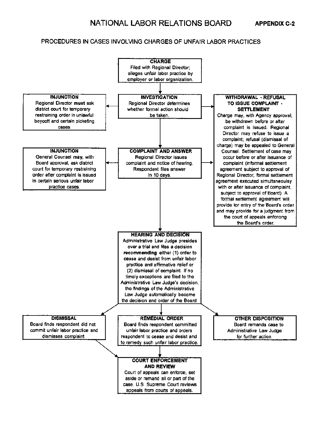#### PROCEDURES IN CASES INVOLVING CHARGES OF UNFAIR LABOR PRACTICES

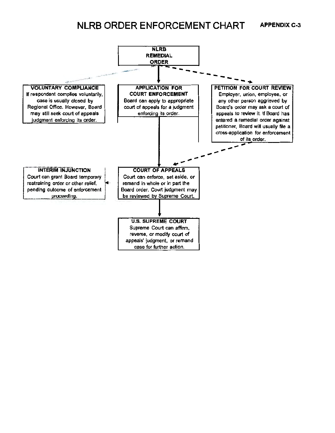NLRB ORDER ENFORCEMENT CHART APPENDIX C-3

~ .•. VOLUNTARY COMPLIANCE If respondent complies voluntarily, case is usually closed by Regional Office. However, Board may still seek court of appeals judgment enforcing its order. **INTERIM INJUNCTION** Court can grant Board temporary restraining order or other relief, pending outcome of enforcement proceeding. **NLRB** REMEDIAL ORDER ---<br>----<u>'</u> APPLICATION FOR COURT ENFORCEMENT --- Board can apply to appropriate court of appeals for a judgment enforcing its order.  $-$ COURT OF APPEALS Court can enforce, set aside, or remand in whole or in part the Board order. Court judgment may be reviewed by Supreme Court. 1 U.S. SUPREME COURT Supreme Court can affirm, reverse, or modify court of appeals' judgment, or remand case for further action. -----<br>PETITION FOR COURT REVIEW Employer, union, employee, or any other person aggrieved by Board's order may ask a court of appeals to review it. If Board has entered a remedial order against petitioner, Board will usually file a cross-application for enforcement of its order.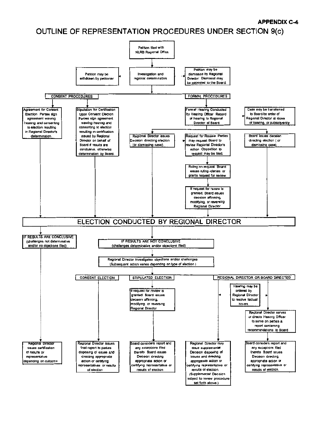### **OUTLINE OF REPRESENTATION PROCEDURES UNDER SECTION 9(c)**

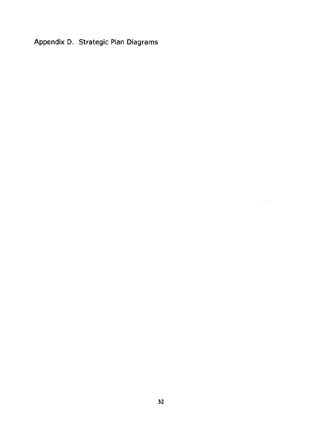Appendix D. Strategic Plan Diagrams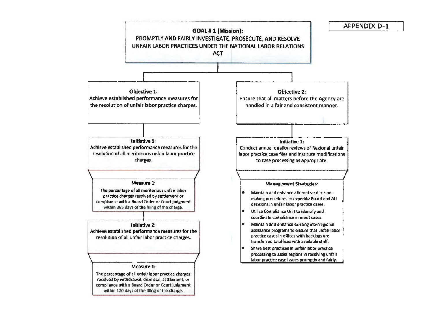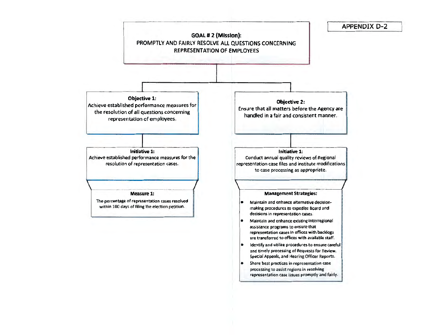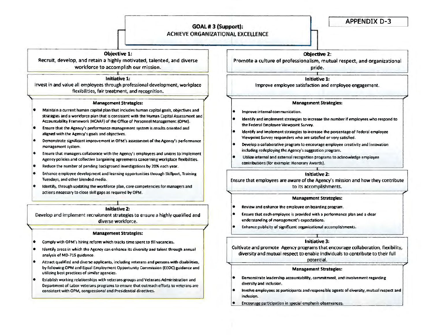#### GOAL# 3 (Support): ACHIEVE ORGANIZATIONAL EXCElLENCE

#### APPENDIX D-3

#### Objective 1: Objective 2:

-

workforce to accomplish our mission. **pride .** pride . pride . pride . pride . pride . pride . pride . pride . pride . pride . pride . pride . pride . pride . pride . pride . pride . pride . pride . pride . pride . pride .

#### Initiative 1: **Initiative 1:** Initiative 1:

Invest in and value all employees through professional development, workplace Invest Improve employee satisfaction and employee engagement. flexibilities, fair treatment, and recognition.

- Maintain a current human capital plan that includes human capital goals, objectives and<br>Strategies and a workforce plan that is consistent with the Human Capital Assessment and<br>Accountability Framework (HCAAF) of the Offic
- Ensure that the Agency's performance management system is results oriented and
- $\bullet$  Demonstrate significant improvement in OPM's assessment of the Agency's performance management syste
- ensure that managers collaborate with the Agency's employees and unions to implement including redeploying the Agency's suggestion program.<br>A source that managers collaborate with the Agency's employees and unions to imple Agency policies and collective bargaining agreements concerning workplace flexibilities. <br>Contributions (for example: Honorary Awards).
- Reduce the number of pending background investigations by 20% each year.
- Enhance employee development and learning opportunities through Skillport, Training Initiative 2:<br>Initiative 2: Initiative 2: Initiative 2: Initiative 2: Initiative 2: Initiative 2: Initiative 2: Initiative 2
- Identify, through updating the workforce plan, core competencies for managers and to the state of the state of the state or to its accomplishments. actions necessary to close skill gaps as required by OPM.

# I

Develop and implement recruitment strategies to ensure a highly qualified and **•** Ensure that each employee is provided with a performance plan and a clear diverse i

#### **Management Strategies:**

- 
- Identify areas in which the Agency can enhance its diversity and talent through annual cultivation, fluiding and programs that encourage collaboration, fluiding collaboration, fluiding, fluiding, fluiding, fluiding, flui
- Attract qualified and diverse applicants, including veterans and persons with disabilities, and the controllation of the controllation of the control of the control of the control of the control of the control of the contr by following OPM and Equal Employment Opportunity Commission (EEOC) guidance and **Management Strategies:** Management Strategies:<br>utilizing best practices of similar agencies.
- Establish working relationships with veterans groups and Department of Labor veterans programs to ensure that outreach efforts to veterans are diversity and inclusion.

Recruit, develop, and retain a highly motivated, talented, and diverse Promote a culture of professionalism, mutual respect, and organizational

-

.

# Management Strategies: Management Strategies: Management Strategies: Management Strategies: Management Strategies: Management Strategies: Management Strategies: Management Strategies: Management Strategies: Management Stra

- 
- 
- aligned with the Agency's goals and objectives. Increase the Derical employee of Federal employee<br>Viewpoint Survey responders who are satisfied or very satisfied.
	- Develop a collaborative program to encourage employee creativity and innovation
	-

Ensure that employees are aware of the Agency's mission and how they contribute

#### , Management Strategies:

- Initiative 2: Review and enhance the employee on boarding program .
	- understanding of management's expectations.
- '\.. / Enhance publicity of significant organizational accomplishments .

Comply with OPM's hiring reform which tracks time spent to fill vacancies.<br>
Cultivate and promote Agency programs that encourage collaboration, flexibility, diversity and mutual respect to enable individuals to contribute to their full

- Demonstrate leadership accountability, commitment, and involvement regarding
- consistent with OPM, congressional and Presidential directives. **For a set of the involve employees as participants and responsible agents of diversity, mutual respect and** inclusion.
	- Encourage partlcipation in special emphasis observances.